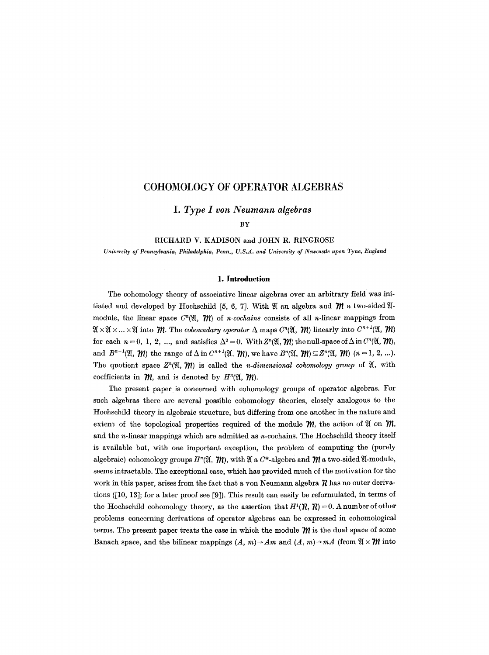# **COHOMOLOGY OF OPERATOR ALGEBRAS**

*I. Type I von Neumann algebras* 

BY

### RICHARD V. KADISON and JOHN R. RINGROSE

*University of Pennsylvania, Philadelphia, Penn., U.S.A. and University of Newcastle upon Tyne, England* 

#### **1. Introduction**

The cohomology theory of associative linear algebras over an arbitrary field was initiated and developed by Hochschild [5, 6, 7]. With  $\mathfrak A$  an algebra and  $\mathfrak M$  a two-sided  $\mathfrak A$ module, the linear space  $C^n(\mathfrak{A}, \mathfrak{M})$  of *n*-cochains consists of all *n*-linear mappings from  $\mathfrak{A}\times\mathfrak{A}\times\ldots\times\mathfrak{A}$  into  $\mathfrak{M}$ . The *coboundary operator*  $\Delta$  maps  $C^n(\mathfrak{A}, \mathfrak{M})$  linearly into  $C^{n+1}(\mathfrak{A}, \mathfrak{M})$ for each  $n = 0, 1, 2, ...$ , and satisfies  $\Delta^2 = 0$ . With  $Z^n(\mathfrak{A}, \mathfrak{M})$  the null-space of  $\Delta$  in  $C^n(\mathfrak{A}, \mathfrak{M})$ , and  $B^{n+1}(\mathfrak{A}, \mathfrak{M})$  the range of  $\Delta$  in  $C^{n+1}(\mathfrak{A}, \mathfrak{M})$ , we have  $B^n(\mathfrak{A}, \mathfrak{M}) \subseteq Z^n(\mathfrak{A}, \mathfrak{M})$   $(n = 1, 2, ...).$ The quotient space  $Z^n(\mathfrak{A}, \mathfrak{M})$  is called the *n-dimensional cohomology group* of  $\mathfrak{A}$ , with coefficients in  $\mathcal{M}$ , and is denoted by  $H^n(\mathfrak{A}, \mathcal{M})$ .

The present paper is concerned with cohomology groups of operator algebras. For such algebras there are several possible cohomology theories, closely analogous to the Hochschild theory in algebraic structure, but differing from one another in the nature and extent of the topological properties required of the module  $m$ , the action of  $\mathfrak A$  on  $\mathfrak m$ , and the  $n$ -linear mappings which are admitted as  $n$ -cochains. The Hochschild theory itself is available but, with one important exception, the problem of computing the (purely algebraic) cohomology groups  $H^{n}(\mathfrak{A}, \mathfrak{M})$ , with  $\mathfrak{A}$  a  $C^{*}$ -algebra and  $\mathfrak{M}$  a two-sided  $\mathfrak{A}$ -module, seems intractable. The exceptional case, which has provided much of the motivation for the work in this paper, arises from the fact that a von Neumann algebra  $R$  has no outer derivations ([10, 13]; for a later proof see [9]). This result can easily be reformulated, in terms of the Hochschild cohomology theory, as the assertion that  $H^{1}(R, R) = 0$ . A number of other problems concerning derivations of operator algebras can be expressed in cohomological terms. The present paper treats the case in which the module  $\mathcal{W}$  is the dual space of some Banach space, and the bilinear mappings  $(A, m) \rightarrow Am$  and  $(A, m) \rightarrow mA$  (from  $\mathfrak{A} \times \mathfrak{M}$  into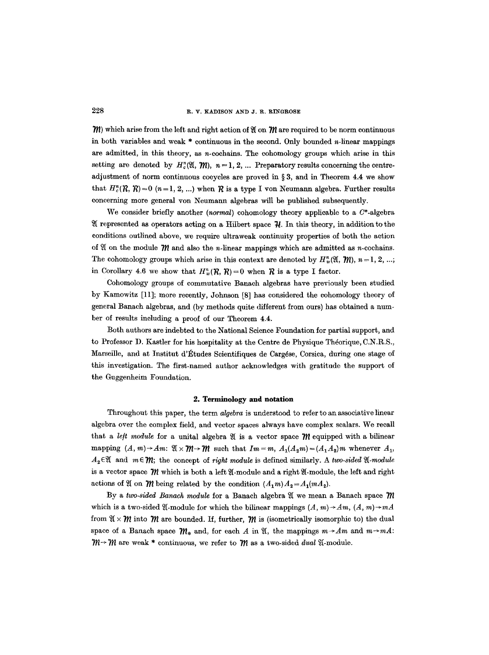$\mathcal{W}$ ) which arise from the left and right action of  $\mathfrak{A}$  on  $\mathcal{W}$  are required to be norm continuous in both variables and weak  $*$  continuous in the second. Only bounded  $n$ -linear mappings are admitted, in this theory, as  $n$ -cochains. The cohomology groups which arise in this setting are denoted by  $H_c^n(\mathfrak{A}, \mathfrak{M}), n = 1, 2, ...$  Preparatory results concerning the centreadjustment of norm continuous cocycles are proved in  $\S 3$ , and in Theorem 4.4 we show that  $H_c^n(\mathcal{R}, \mathcal{R})=0$  (n=1, 2, ...) when  $\mathcal R$  is a type I von Neumann algebra. Further results concerning more general yon Neumann algebras will be published subsequently.

We consider briefly another (normal) cohomology theory applicable to a  $C^*$ -algebra If represented as operators acting on a Hilbert space  $\mathcal{H}$ . In this theory, in addition to the conditions outlined above, we require ultraweak continuity properties of both the action of  $\mathfrak A$  on the module  $\mathfrak M$  and also the *n*-linear mappings which are admitted as *n*-cochains. The cohomology groups which arise in this context are denoted by  $H_w^n(\mathfrak{A}, \mathfrak{M}), n = 1, 2, ...;$ in Corollary 4.6 we show that  $H_w^n(\mathcal{R}, \mathcal{R})=0$  when  $\mathcal R$  is a type I factor.

Cohomology groups of commutative Banach algebras have previously been studied by Kamowitz [11]; more recently, Johnson [8] has considered the cohomology theory of general Banach algebras, and (by methods quite different from ours) has obtained a number of results including a proof of our Theorem 4.4.

Both authors are indebted to the National Science Foundation for partial support, and to Professor D. Kastler for his hospitality at the Centre de Physique Théorique, C.N.R.S., Marseille, and at Institut d'Études Scientifiques de Cargése, Corsica, during one stage of this investigation. The first-named author acknowledges with gratitude the support of the Guggenheim Foundation.

#### **2. Terminology and notation**

Throughout this paper, the term *abjebra* is understood to refer to an associative linear algebra over the complex field, and vector spaces always have complex scalars. We recall that a *left module* for a unital algebra  $\mathfrak{A}$  is a vector space  $\mathfrak{M}$  equipped with a bilinear mapping  $(A, m) \rightarrow Am$ :  $\mathfrak{A} \times \mathfrak{M} \rightarrow \mathfrak{M}$  such that  $Im = m$ ,  $A_1(A_2m) = (A_1A_2)m$  whenever  $A_1$ ,  $A_2 \in \mathcal{X}$  and  $m \in \mathcal{W}$ ; the concept of *right module* is defined similarly. A *two-sided*  $\mathcal{X}$ *-module* is a vector space  $W$  which is both a left  $\mathfrak A$ -module and a right  $\mathfrak A$ -module, the left and right actions of  $\mathfrak A$  on  $\mathfrak M$  being related by the condition  $(A_1m)A_2=A_1(mA_2)$ .

By a *two-sided Banach module* for a Banach algebra  $\mathfrak A$  we mean a Banach space  $m$ which is a two-sided  $\mathfrak A$ -module for which the bilinear mappings  $(A, m) \rightarrow Am$ ,  $(A, m) \rightarrow mA$ from  $\mathfrak{A}\times\mathfrak{M}$  into  $\mathfrak{M}$  are bounded. If, further,  $\mathfrak{M}$  is (isometrically isomorphic to) the dual space of a Banach space  $\mathcal{W}_*$  and, for each A in  $\mathfrak{A}$ , the mappings  $m \rightarrow Am$  and  $m \rightarrow mA$ :  $m \rightarrow m$  are weak \* continuous, we refer to  $m$  as a two-sided *dual*  $\mathfrak{A}$ -module.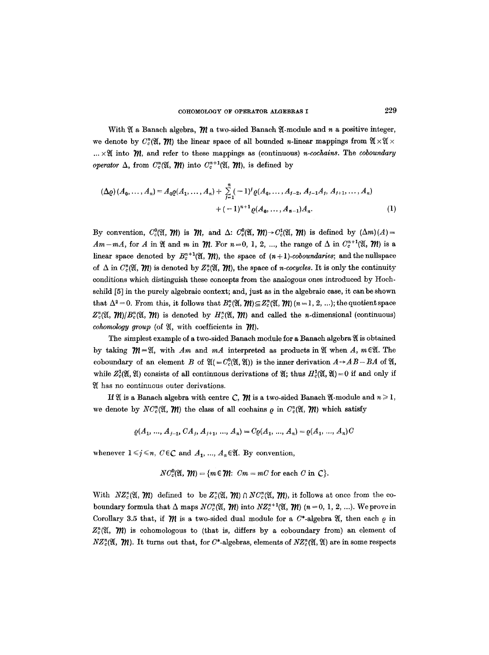With  $\mathfrak A$  a Banach algebra,  $\mathfrak M$  a two-sided Banach  $\mathfrak A$ -module and n a positive integer, we denote by  $C_c^{\pi}(\mathfrak{A}, \mathfrak{M})$  the linear space of all bounded n-linear mappings from  $\mathfrak{A} \times \mathfrak{A} \times \mathfrak{A}$  $... \times \mathfrak{A}$  into  $\mathfrak{M}$ , and refer to these mappings as (continuous) *n*-cochains. The *coboundary operator*  $\Delta$ , from  $C_c^n(\mathfrak{A}, \mathfrak{M})$  into  $C_c^{n+1}(\mathfrak{A}, \mathfrak{M})$ , is defined by

$$
(\Delta \varrho) (A_0, \dots, A_n) = A_0 \varrho (A_1, \dots, A_n) + \sum_{j=1}^n (-1)^j \varrho (A_0, \dots, A_{j-2}, A_{j-1} A_j, A_{j+1}, \dots, A_n)
$$
  
 
$$
+ (-1)^{n+1} \varrho (A_0, \dots, A_{n-1}) A_n.
$$
 (1)

By convention,  $C_c^0(\mathfrak{A}, \mathfrak{M})$  is  $\mathfrak{M}$ , and  $\Delta$ :  $C_c^0(\mathfrak{A}, \mathfrak{M}) \rightarrow C_c^1(\mathfrak{A}, \mathfrak{M})$  is defined by  $(\Delta m)(A)$  =  $Am-mA$ , for A in  $\mathfrak A$  and m in  $\mathfrak M$ . For  $n=0, 1, 2, ...$ , the range of  $\Delta$  in  $C_c^{n+1}(\mathfrak A, \mathfrak M)$  is a linear space denoted by  $B_c^{n+1}(\mathfrak{A}, \mathfrak{M})$ , the space of  $(n+1)$ -coboundaries; and the nullspace of  $\Delta$  in  $C_c^n(\mathfrak{A}, \mathfrak{M})$  is denoted by  $Z_c^n(\mathfrak{A}, \mathfrak{M})$ , the space of *n*-cocycles. It is only the continuity conditions which distinguish these concepts from the analogous ones introduced by Hoehschild [5] in the purely algebraic context; and, just as in the algebraic case, it canbe shown that  $\Delta^2 = 0$ . From this, it follows that  $B^n_{\alpha}(\mathfrak{A}, \mathfrak{M}) \subseteq Z^n_{\alpha}(\mathfrak{A}, \mathfrak{M})$  ( $n = 1, 2, ...$ ); the quotient space  $Z_c^n(\mathfrak{A}, \mathfrak{M})/B_c^n(\mathfrak{A}, \mathfrak{M})$  is denoted by  $H_c^n(\mathfrak{A}, \mathfrak{M})$  and called the *n*-dimensional (continuous) *cohomology group* (of  $\mathfrak{A}$ , with coefficients in  $\mathfrak{M}$ ).

The simplest example of a two-sided Banach module for a Banach algebra 91 is obtained by taking  $\mathcal{W}=\mathfrak{A}$ , with *Am* and *mA* interpreted as products in  $\mathfrak{A}$  when A,  $m \in \mathfrak{A}$ . The coboundary of an element B of  $\mathfrak{A} (= C_c^0(\mathfrak{A}, \mathfrak{A}))$  is the inner derivation  $A \rightarrow AB-BA$  of  $\mathfrak{A}$ , while  $Z_c^1(\mathfrak{A}, \mathfrak{A})$  consists of all continuous derivations of  $\mathfrak{A}$ ; thus  $H_c^1(\mathfrak{A}, \mathfrak{A})=0$  if and only if  $\mathfrak A$  has no continuous outer derivations.

If  $\mathfrak A$  is a Banach algebra with centre C,  $\mathfrak M$  is a two-sided Banach  $\mathfrak A$ -module and  $n \geq 1$ , we denote by  $NC_c^{\{n\}}(\mathfrak{A}, \mathfrak{M})$  the class of all cochains  $\rho$  in  $C_c^{\{n\}}(\mathfrak{A}, \mathfrak{M})$  which satisfy

$$
\varrho(A_1, \ldots, A_{j-1}, CA_j, A_{j+1}, \ldots, A_n) = C\varrho(A_1, \ldots, A_n) = \varrho(A_1, \ldots, A_n)C
$$

whenever  $1 \leq j \leq n$ ,  $C \in \mathbb{C}$  and  $A_1, ..., A_n \in \mathfrak{A}$ . By convention,

$$
NC_c^0(\mathfrak{A},\mathfrak{M})=\{m\in\mathfrak{M}\colon\thinspace Cm=mC\text{ for each }C\text{ in }\mathbb{C}\}.
$$

With  $NZ_c^n(\mathfrak{A}, \mathfrak{M})$  defined to be  $Z_c^n(\mathfrak{A}, \mathfrak{M}) \cap NC_c^n(\mathfrak{A}, \mathfrak{M})$ , it follows at once from the coboundary formula that  $\Delta$  maps  $NC_c^{\prime\prime}(\mathfrak{A}, \mathfrak{M})$  into  $NZ_c^{\prime\prime+1}(\mathfrak{A}, \mathfrak{M})$  ( $n=0, 1, 2, ...$ ). We prove in Corollary 3.5 that, if  *is a two-sided dual module for a*  $C^*$ *-algebra*  $\mathfrak{A}$ *, then each*  $\varrho$  *in*  $Z_c^n(\mathfrak{A}, \mathfrak{M})$  is cohomologous to (that is, differs by a coboundary from) an element of  $NZ_{c}^{n}(\mathfrak{A}, \mathfrak{M})$ . It turns out that, for C\*-algebras, elements of  $NZ_{c}^{n}(\mathfrak{A}, \mathfrak{A})$  are in some respects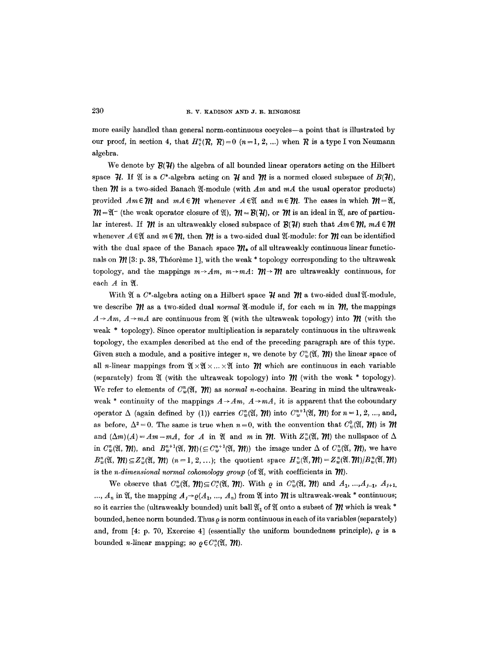more easily handled than general norm-continuous cocycles--a point that is illustrated by our proof, in section 4, that  $H_c^n(R, R) = 0$   $(n=1, 2, ...)$  when  $R$  is a type I von Neumann algebra.

We denote by  $\mathcal{B}(\mathcal{H})$  the algebra of all bounded linear operators acting on the Hilbert space  $\mathcal{H}$ . If  $\mathfrak A$  is a  $C^*$ -algebra acting on  $\mathcal H$  and  $\mathcal M$  is a normed closed subspace of  $B(\mathcal{H})$ , then  $\mathcal M$  is a two-sided Banach  $\mathfrak A$ -module (with  $Am$  and  $mA$  the usual operator products) provided  $Am\in \mathcal{W}$  and  $mA\in \mathcal{W}$  whenever  $A\in \mathcal{Y}$  and  $m\in \mathcal{W}$ . The cases in which  $\mathcal{W}=\mathcal{Y}$ .  $m=\mathfrak{A}^-$  (the weak operator closure of  $\mathfrak{A}$ ),  $m=\mathcal{B}(\mathcal{H})$ , or  $m$  is an ideal in  $\mathfrak{A}$ , are of particular interest. If  $\mathcal{W}$  is an ultraweakly closed subspace of  $\mathcal{B}(\mathcal{H})$  such that  $Am \in \mathcal{W}$ ,  $mA \in \mathcal{W}$ whenever  $A \in \mathcal{X}$  and  $m \in \mathcal{W}$ , then  $\mathcal{W}$  is a two-sided dual  $\mathcal{Y}$ -module: for  $\mathcal{W}$  can be identified with the dual space of the Banach space  $\mathcal{W}_*$  of all ultraweakly continuous linear functionals on  $\mathcal{W}$  [3: p. 38, Theorem 1], with the weak \* topology corresponding to the ultraweak topology, and the mappings  $m \rightarrow Am$ ,  $m \rightarrow mA$ :  $m \rightarrow m$  are ultraweakly continuous, for each  $A$  in  $\mathfrak{A}$ .

With  $\mathfrak A$  a C<sup>\*</sup>-algebra acting on a Hilbert space  $\mathcal H$  and  $\mathcal M$  a two-sided dual  $\mathfrak A$ -module, we describe  $\mathcal{W}$  as a two-sided dual *normal*  $\mathfrak{A}$ -module if, for each m in  $\mathcal{W}$ , the mappings  $A \rightarrow Am$ ,  $A \rightarrow mA$  are continuous from  $\mathfrak{A}$  (with the ultraweak topology) into  $\mathfrak{M}$  (with the weak \* topology). Since operator multiplication is separately continuous in the ultraweak topology, the examples described at the end of the preceding paragraph are of this type. Given such a module, and a positive integer n, we denote by  $C_w^n(\mathfrak{A}, \mathfrak{M})$  the linear space of all *n*-linear mappings from  $\mathfrak{A} \times \mathfrak{A} \times \cdots \times \mathfrak{A}$  into  $\mathfrak{M}$  which are continuous in each variable (separately) from  $\mathfrak A$  (with the ultraweak topology) into  $\mathfrak M$  (with the weak  $*$  topology). We refer to elements of  $C_w^n(\mathfrak{A}, \mathfrak{M})$  as *normal n*-cochains. Bearing in mind the ultraweakweak \* continuity of the mappings  $A \rightarrow Am$ ,  $A \rightarrow mA$ , it is apparent that the coboundary operator  $\Delta$  (again defined by (1)) carries  $C_{\nu}^{n}(\mathfrak{A}, \mathfrak{M})$  into  $C_{\nu}^{n+1}(\mathfrak{A}, \mathfrak{M})$  for  $n = 1, 2, ...,$  and, as before,  $\Delta^2=0$ . The same is true when  $n=0$ , with the convention that  $C_w^0(\mathfrak{A}, \mathfrak{M})$  is  $\mathfrak{M}$ and  $(\Delta m)(A) = Am - mA$ , for A in  $\mathfrak{A}$  and m in  $\mathfrak{M}$ . With  $Z_w^n(\mathfrak{A}, \mathfrak{M})$  the nullspace of  $\Delta$ in  $C_w^n(\mathfrak{A}, \mathcal{W})$ , and  $B_w^{n+1}(\mathfrak{A}, \mathcal{W}) \subseteq C_w^{n+1}(\mathfrak{A}, \mathcal{W})$  the image under  $\Delta$  of  $C_w^n(\mathfrak{A}, \mathcal{W})$ , we have  $B_w^n(\mathfrak{A}, \mathcal{W}) \subseteq Z_w^n(\mathfrak{A}, \mathcal{W})$   $(n = 1, 2, ...);$  the quotient space  $H_w^n(\mathfrak{A}, \mathcal{W}) = Z_w^n(\mathfrak{A}, \mathcal{W})/B_w^n(\mathfrak{A}, \mathcal{W})$ is the *n-dimensional normal cohomology group* (of  $\mathfrak{A}$ , with coefficients in  $\mathfrak{M}$ ).

We observe that  $C_w^n(\mathfrak{A}, \mathfrak{M}) \subseteq C_c^n(\mathfrak{A}, \mathfrak{M})$ . With  $\varrho$  in  $C_w^n(\mathfrak{A}, \mathfrak{M})$  and  $A_1, ..., A_{j-1}, A_{j+1}$ . ...,  $A_n$  in  $\mathfrak{A}$ , the mapping  $A_j \rightarrow \varrho(A_1, ..., A_n)$  from  $\mathfrak A$  into  $\mathfrak M$  is ultraweak-weak \* continuous; so it carries the (ultraweakly bounded) unit ball  $\mathfrak{A}_1$  of  $\mathfrak A$  onto a subset of  $\mathfrak M$  which is weak  $^*$ bounded, hence norm bounded. Thus  $\rho$  is norm continuous in each of its variables (separately) and, from  $[4: p. 70, Exercise 4]$  (essentially the uniform boundedness principle),  $\varrho$  is a bounded *n*-linear mapping; so  $\rho \in C_c^n(\mathfrak{A}, \mathfrak{M}).$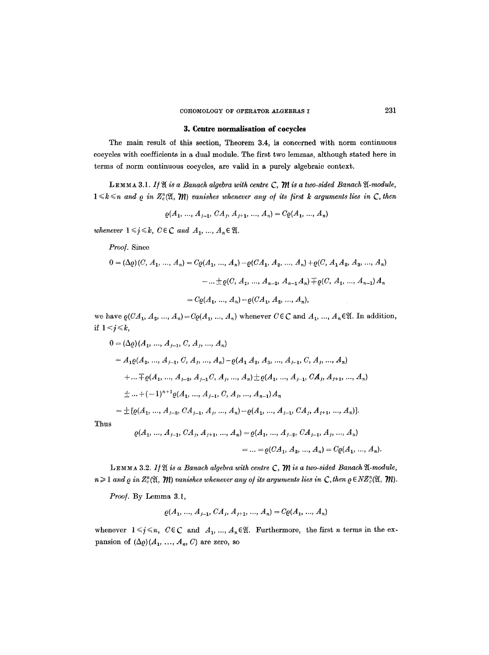## **3. Centre normalisation of coeycles**

The main result of this section, Theorem 3.4, is concerned with norm continuous cocycles with coefficients in a dual module. The first two lemmas, although stated here in terms of norm continuous cocycles, are valid in a purely algebraic context.

LEMMA 3.1. If  $\mathfrak A$  is a Banach algebra with centre C,  $\mathfrak M$  is a two-sided Banach  $\mathfrak A$ -module,  $1 \leq k \leq n$  and  $\varrho$  in  $Z_c^n(\mathfrak{A}, \mathfrak{M})$  vanishes whenever any of its first k arguments lies in  $\mathsf{C}$ , then

$$
\varrho(A_1, ..., A_{j-1}, CA_j, A_{j+1}, ..., A_n) = C\varrho(A_1, ..., A_n)
$$

*whenever*  $1 \leq j \leq k$ ,  $C \in \mathbb{C}$  and  $A_1, ..., A_n \in \mathfrak{A}$ .

Proof. Since

$$
0 = (\Delta \varrho)(C, A_1, ..., A_n) = C\varrho(A_1, ..., A_n) - \varrho(CA_1, A_2, ..., A_n) + \varrho(C, A_1 A_2, A_3, ..., A_n)
$$

$$
- ... \pm \varrho(C, A_1, ..., A_{n-2}, A_{n-1} A_n) \mp \varrho(C, A_1, ..., A_{n-1}) A_n
$$

$$
= C\varrho(A_1, ..., A_n) - \varrho(CA_1, A_2, ..., A_n),
$$

we have  $\varrho(CA_1, A_2, ..., A_n) = C\varrho(A_1, ..., A_n)$  whenever  $C \in \mathbb{C}$  and  $A_1, ..., A_n \in \mathfrak{A}$ . In addition, if  $1 < j \leq k$ ,

$$
0 = (\Delta \varrho)(A_1, ..., A_{j-1}, C, A_j, ..., A_n)
$$
  
\n
$$
= A_1 \varrho(A_2, ..., A_{j-1}, C, A_j, ..., A_n) - \varrho(A_1 A_2, A_3, ..., A_{j-1}, C, A_j, ..., A_n)
$$
  
\n
$$
+ ... \mp \varrho(A_1, ..., A_{j-2}, A_{j-1} C, A_j, ..., A_n) \pm \varrho(A_1, ..., A_{j-1}, CA_j, A_{j+1}, ..., A_n)
$$
  
\n
$$
\pm ... + (-1)^{n+1} \varrho(A_1, ..., A_{j-1}, C, A_j, ..., A_{n-1}) A_n
$$
  
\n
$$
= \pm [\varrho(A_1, ..., A_{j-2}, CA_{j-1}, A_j, ..., A_n) - \varrho(A_1, ..., A_{j-1}, CA_j, A_{j+1}, ..., A_n)].
$$
  
\nThus  
\n
$$
\varrho(A_1, ..., A_{j-1}, CA_j, A_{j+1}, ..., A_n) = \varrho(A_1, ..., A_{j-2}, CA_{j-1}, A_j, ..., A_n)
$$
  
\n
$$
= ... = \varrho(CA_1, A_2, ..., A_n) = C\varrho(A_1, ..., A_n)
$$

LEMMA 3.2. If  $\mathfrak A$  is a Banach algebra with centre C,  $\mathfrak M$  is a two-sided Banach  $\mathfrak A$ -module,  $n \geq 1$  and  $\rho$  in  $Z_c^n(\mathfrak{A}, \mathfrak{M})$  vanishes whenever any of its arguments lies in  $\mathcal{C}$ , then  $\rho \in NZ_c^n(\mathfrak{A}, \mathfrak{M})$ .

Proof. By Lemma 3.1,

$$
\varrho(A_1, ..., A_{j-1}, CA_j, A_{j+1}, ..., A_n) = C\varrho(A_1, ..., A_n)
$$

whenever  $1 \leq j \leq n$ ,  $C \in \mathbb{C}$  and  $A_1, ..., A_n \in \mathfrak{A}$ . Furthermore, the first n terms in the expansion of  $(\Delta \varrho)(A_1, \ldots, A_n, C)$  are zero, so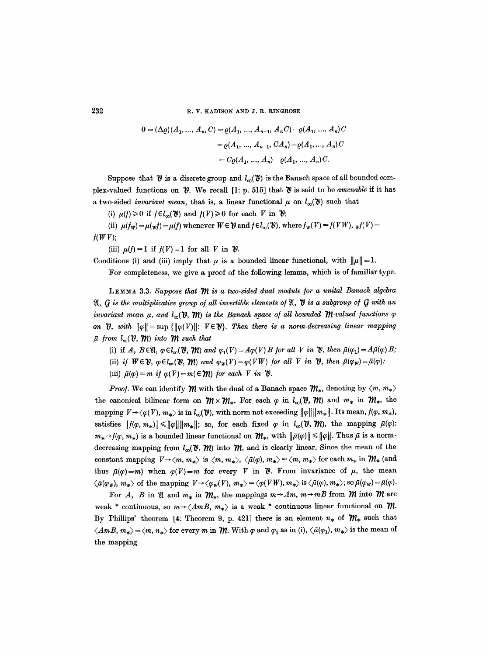232 R. V. KADISON AND J. R. RINGROSE

$$
0 = (\Delta \varrho)(A_1, ..., A_n, C) = \varrho(A_1, ..., A_{n-1}, A_n C) - \varrho(A_1, ..., A_n)C
$$
  
=  $\varrho(A_1, ..., A_{n-1}, CA_n) - \varrho(A_1, ..., A_n)C$   
=  $C\varrho(A_1, ..., A_n) - \varrho(A_1, ..., A_n)C$ .

Suppose that  $\mathcal{V}$  is a discrete group and  $l_{\infty}(\mathcal{V})$  is the Banach space of all bounded complex-valued functions on  $\mathcal{V}$ . We recall [1: p. 515] that  $\mathcal{V}$  is said to be *amenable* if it has a two-sided *invariant mean*, that is, a linear functional  $\mu$  on  $l_{\infty}(\mathcal{V})$  such that

(i)  $\mu(f) \ge 0$  if  $f \in l_{\infty}(\mathcal{V})$  and  $f(V) \ge 0$  for each V in  $\mathcal{V}$ ;

(ii)  $\mu(f_w) = \mu(\psi) = \mu(f)$  whenever  $W \in \mathcal{V}$  and  $f \in l_{\infty}(\mathcal{V})$ , where  $f_w(V) = f(VW)$ ,  $_w f(V) =$  $f(WV);$ 

(iii)  $\mu(f) = 1$  if  $f(V) = 1$  for all V in  $\mathcal{V}$ .

Conditions (i) and (iii) imply that  $\mu$  is a bounded linear functional, with  $\|\mu\| = 1$ .

For completeness, we give a proof of the following lemma, which is of familiar type.

LEMMA 3.3. Suppose that  *is a two-sided dual module for a unital Banach algebra*  $9/$ , *G* is the multiplicative group of all invertible elements of  $\mathfrak{A}$ ,  $\mathfrak{B}$  is a subgroup of  $G$  with an *invariant mean*  $\mu$ , and  $l_{\infty}(\mathcal{V}, \mathcal{W})$  is the Banach space of all bounded  $\mathcal{W}$ -valued functions  $\varphi$ *on*  $\mathfrak{B}$ , with  $\|\varphi\| = \sup \{ \|\varphi(V)\| : V \in \mathfrak{B} \}$ . Then there is a norm-decreasing linear mapping  $\bar{\mu}$  from  $l_{\infty}({\mathcal V}, {\mathcal W})$  into  ${\mathcal W}$  such that

(i) if A,  $B \in \mathfrak{A}, \varphi \in l_{\infty}(\mathfrak{V}, \mathfrak{M})$  and  $\varphi_1(V) = A\varphi(V)B$  for all V in  $\mathfrak{V},$  then  $\tilde{\mu}(\varphi_1) = A\tilde{\mu}(\varphi)B$ ;

- (ii) *if*  $W \in \mathcal{V}$ ,  $\varphi \in l_{\infty}(\mathcal{V}, \mathcal{W})$  and  $\varphi_{W}(V) = \varphi(VW)$  for all V in  $\mathcal{V}$ , then  $\bar{\mu}(\varphi_{W}) = \bar{\mu}(\varphi)$ ;
- (iii)  $\bar{\mu}(q) = m$  *if*  $q(V) = m(\epsilon M)$  for each V in  $V$ .

*Proof.* We can identify  $\mathcal{W}$  with the dual of a Banach space  $\mathcal{W}_*$ , denoting by  $\langle m, m_* \rangle$ the canonical bilinear form on  $m \times m_*$ . For each  $\varphi$  in  $l_{\infty}(v, m)$  and  $m_*$  in  $m_*$ , the mapping  $V \rightarrow \langle \varphi(V), m_* \rangle$  is in  $l_{\infty}(\mathcal{V})$ , with norm not exceeding  $||\varphi|| ||m_*||$ . Its mean,  $f(\varphi, m_*),$ satisfies  $|f(\varphi, m_*)| \le ||\varphi|| ||m_*||$ ; so, for each fixed  $\varphi$  in  $l_{\infty}(\vartheta, \vartheta)$ , the mapping  $\bar{\mu}(\varphi)$ :  $m_*\rightarrow f(\varphi, m_*)$  is a bounded linear functional on  $\mathcal{W}_*$ , with  $\|\bar{\mu}(\varphi)\| \leq \|\varphi\|$ . Thus  $\bar{\mu}$  is a normdecreasing mapping from  $l_{\infty}(\mathcal{V}, \mathcal{W})$  into  $\mathcal{W}$ , and is clearly linear. Since the mean of the constant mapping  $V \rightarrow \langle m, m_* \rangle$  is  $\langle m, m_* \rangle$ ,  $\langle \bar{\mu}(\varphi), m_* \rangle = \langle m, m_* \rangle$  for each  $m_*$  in  $\mathcal{W}_*$  (and thus  $\bar{\mu}(\varphi)=m$ ) when  $\varphi(V)=m$  for every V in  $\vartheta$ . From invariance of  $\mu$ , the mean  $\langle \bar{\mu}(\varphi_w), m_* \rangle$  of the mapping  $V \rightarrow \langle \varphi_w(V), m_* \rangle = \langle \varphi(VW), m_* \rangle$  is  $\langle \bar{\mu}(\varphi), m_* \rangle$ ; so  $\bar{\mu}(\varphi_w) = \bar{\mu}(\varphi)$ .

For A, B in  $\mathfrak A$  and  $m_*$  in  $\mathfrak M_*$ , the mappings  $m \rightarrow Am$ ,  $m \rightarrow m$ B from  $\mathfrak M$  into  $\mathfrak M$  are weak \* continuous, so  $m \rightarrow \langle A \rangle m$ ,  $m_* \rangle$  is a weak \* continuous linear functional on  $m$ . By Phillips' theorem [4: Theorem 9, p. 421] there is an element  $n_*$  of  $\mathcal{W}_*$  such that  $\langle AmB, m_{*}\rangle =\langle m, n_{*}\rangle$  for every m in  $\mathcal{W}$ . With  $\varphi$  and  $\varphi_1$  as in (i),  $\langle \bar{\mu}(\varphi_1), m_{*}\rangle$  is the mean of the mapping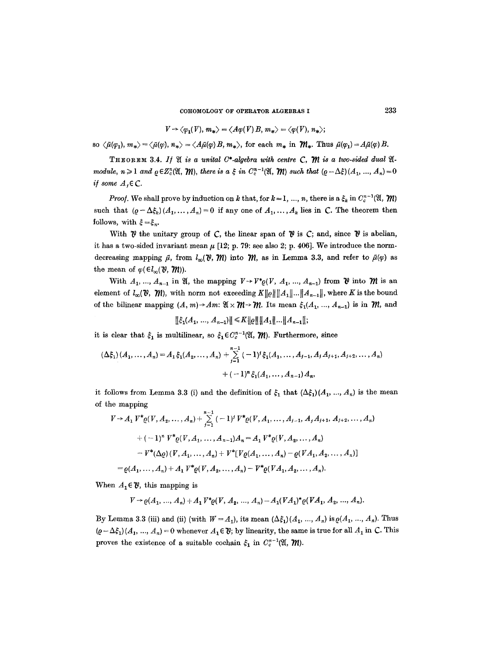COHOMOLOGY OF OPERATOR ALGEBRASI **233** 

$$
V \rightarrow \langle \varphi_1(V), m_* \rangle = \langle A\varphi(V) B, m_* \rangle = \langle \varphi(V), n_* \rangle;
$$

so  $\langle \tilde{\mu}(\varphi_1), m_* \rangle = \langle \tilde{\mu}(\varphi), n_* \rangle = \langle A \tilde{\mu}(\varphi) B, m_* \rangle$ , for each  $m_*$  in  $\mathcal{W}_*$ . Thus  $\tilde{\mu}(\varphi_1) = A \tilde{\mu}(\varphi) B$ .

THEOREM 3.4. If  $\mathfrak A$  is a unital C<sup>\*</sup>-algebra with centre C,  $\mathfrak M$  is a two-sided dual  $\mathfrak A$ *module, n*  $\geq 1$  *and*  $\rho \in Z_c^n(\mathfrak{A}, \mathfrak{M})$ , there is a  $\xi$  in  $C_c^{n-1}(\mathfrak{A}, \mathfrak{M})$  such that  $(\rho - \Delta \xi)(A_1, ..., A_n) = 0$ *if some*  $A_i \in \mathbb{C}$ *.* 

*Proof.* We shall prove by induction on k that, for  $k = 1, ..., n$ , there is a  $\zeta_k$  in  $C_c^{n-1}(\mathfrak{A}, \mathfrak{M})$ such that  $(\varrho-\Delta\xi_k)(A_1,\ldots,A_n)=0$  if any one of  $A_1,\ldots,A_k$  lies in C. The theorem then follows, with  $\xi = \xi_n$ .

With  $\mathcal V$  the unitary group of C, the linear span of  $\mathcal V$  is C; and, since  $\mathcal V$  is abelian, it has a two-sided invariant mean  $\mu$  [12; p. 79: see also 2; p. 406]. We introduce the normdecreasing mapping  $\bar{\mu}$ , from  $l_{\infty}({\bf\mathcal{V}},{\bf\mathcal{W}})$  into  ${\bf\mathcal{W}}$ , as in Lemma 3.3, and refer to  $\bar{\mu}(\varphi)$  as the mean of  $\varphi(\epsilon l_{\infty}(\mathbf{V}, \mathbf{W}))$ .

With  $A_1, ..., A_{n-1}$  in  $\mathfrak{A}$ , the mapping  $V \rightarrow V^*_{\mathfrak{C}}(V, A_1, ..., A_{n-1})$  from  $\mathfrak{P}$  into  $\mathfrak{M}$  is an element of  $l_{\infty}(\mathfrak{V}, \mathfrak{M})$ , with norm not exceeding  $K||\varrho|| ||A_1||...||A_{n-1}||$ , where K is the bound of the bilinear mapping  $(A, m) \rightarrow Am$ :  $\mathfrak{A} \times \mathfrak{M} \rightarrow \mathfrak{M}$ . Its mean  $\xi_1(A_1, ..., A_{n-1})$  is in  $\mathfrak{M}$ , and

 $||\xi_1(A_1, ..., A_{n-1})|| \le K ||q|| ||A_1|| ... ||A_{n-1}||;$ 

*it is clear that*  $\xi_1$  *is multilinear, so*  $\xi_1 \in C_c^{n-1}(\mathfrak{A}, \mathcal{W})$ . Furthermore, since

$$
(\Delta \xi_1)(A_1, \dots, A_n) = A_1 \xi_1(A_2, \dots, A_n) + \sum_{j=1}^{n-1} (-1)^j \xi_1(A_1, \dots, A_{j-1}, A_j A_{j+1}, A_{j+2}, \dots, A_n)
$$

$$
+ (-1)^n \xi_1(A_1, \dots, A_{n-1}) A_n,
$$

it follows from Lemma 3.3 (i) and the definition of  $\xi_1$  that  $(\Delta \xi_1)(A_1, ..., A_n)$  is the mean of the mapping

$$
V \rightarrow A_1 V^* \varrho(V, A_2, ..., A_n) + \sum_{j=1}^{n-1} (-1)^j V^* \varrho(V, A_1, ..., A_{j-1}, A_j A_{j+1}, A_{j+2}, ..., A_n)
$$
  
+  $(-1)^n V^* \varrho(V, A_1, ..., A_{n-1}) A_n = A_1 V^* \varrho(V, A_2, ..., A_n)$   
-  $V^* (\Delta \varrho) (V, A_1, ..., A_n) + V^* [V \varrho(A_1, ..., A_n) - \varrho(V A_1, A_2, ..., A_n)]$   
=  $\varrho(A_1, ..., A_n) + A_1 V^* \varrho(V, A_2, ..., A_n) - V^* \varrho(V A_1, A_2, ..., A_n).$ 

When  $A_1 \in \mathcal{Y}$ , this mapping is

$$
V \to \varrho(A_1, ..., A_n) + A_1 V^* \varrho(V, A_2, ..., A_n) - A_1 (VA_1)^* \varrho(VA_1, A_2, ..., A_n).
$$

By Lemma 3.3 (iii) and (ii) (with  $W = A_1$ ), its mean  $(\Delta \xi_1)(A_1, ..., A_n)$  is  $\varrho(A_1, ..., A_n)$ . Thus  $(\varrho - \Delta \xi_1)$   $(A_1, ..., A_n) = 0$  whenever  $A_1 \in \mathcal{Y}$ ; by linearity, the same is true for all  $A_1$  in C. This proves the existence of a suitable cochain  $\xi_1$  in  $C_c^{n-1}(\mathfrak{A}, \mathfrak{M}).$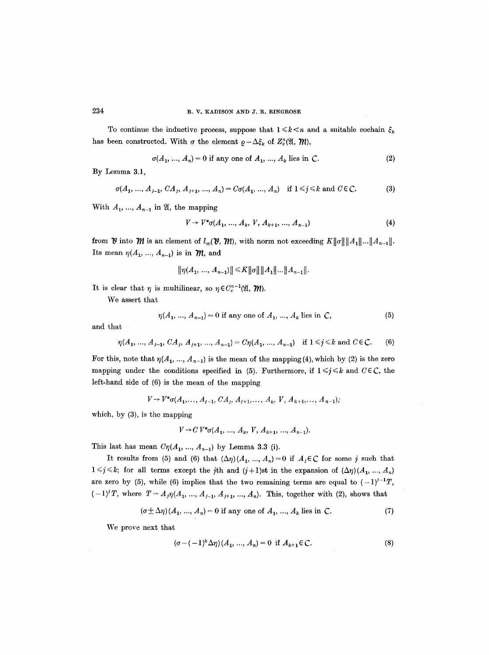To continue the inductive process, suppose that  $1 \leq k \leq n$  and a suitable cochain  $\xi_k$ has been constructed. With  $\sigma$  the element  $\rho - \Delta \xi_k$  of  $Z_c^n(\mathfrak{A}, \mathfrak{M}),$ 

$$
\sigma(A_1, ..., A_n) = 0 \text{ if any one of } A_1, ..., A_k \text{ lies in } C. \tag{2}
$$

By Lemma 3.1,

$$
\sigma(A_1, ..., A_{j-1}, CA_j, A_{j+1}, ..., A_n) = C\sigma(A_1, ..., A_n) \quad \text{if } 1 \leq j \leq k \text{ and } C \in \mathbb{C}.
$$
 (3)

With  $A_1, ..., A_{n-1}$  in  $\mathfrak{A}$ , the mapping

$$
V \to V^* \sigma(A_1, ..., A_k, V, A_{k+1}, ..., A_{n-1})
$$
\n(4)

from  $\mathcal{V}$  into  $\mathcal{M}$  is an element of  $l_{\infty}(\mathcal{V}, \mathcal{W})$ , with norm not exceeding  $K\|\sigma\|\|A_1\|\ldots\|A_{n-1}\|$ . Its mean  $\eta(A_1, ..., A_{n-1})$  is in  $\mathcal{M}$ , and

$$
||\eta(A_1, ..., A_{n-1})|| \leq K ||\sigma|| ||A_1|| ... ||A_{n-1}||.
$$

It is clear that  $\eta$  is multilinear, so  $\eta \in C_c^{n-1}(\mathfrak{A}, \mathfrak{M}).$ 

We assert that

$$
\eta(A_1, ..., A_{n-1}) = 0 \text{ if any one of } A_1, ..., A_k \text{ lies in } C,
$$
 (5)

and that

$$
\eta(A_1, ..., A_{j-1}, CA_j, A_{j+1}, ..., A_{n-1}) = C\eta(A_1, ..., A_{n-1}) \quad \text{if } 1 \leq j \leq k \text{ and } C \in \mathbb{C}.
$$
 (6)

For this, note that  $\eta(A_1, ..., A_{n-1})$  is the mean of the mapping (4), which by (2) is the zero mapping under the conditions specified in (5). Furthermore, if  $1 \le j \le k$  and  $C \in \mathbb{C}$ , the left-hand side of (6) is the mean of the mapping

$$
V \rightarrow V^* \sigma(A_1, \ldots, A_{j-1}, CA_j, A_{j+1}, \ldots, A_k, V, A_{k+1}, \ldots, A_{n-1});
$$

which, by (3), is the mapping

$$
V \to C V^* \sigma(A_1, ..., A_k, V, A_{k+1}, ..., A_{n-1}).
$$

This last has mean  $C\eta(A_1, ..., A_{n-1})$  by Lemma 3.3 (i).

It results from (5) and (6) that  $(\Delta \eta)(A_1, ..., A_n)=0$  if  $A_j \in \mathbb{C}$  for some j such that  $1 \leq j \leq k$ ; for all terms except the jth and  $(j+1)$ st in the expansion of  $(\Delta \eta)(A_1, ..., A_n)$ are zero by (5), while (6) implies that the two remaining terms are equal to  $(-1)^{j-1}T$ ,  $(-1)^{i}T$ , where  $T = A_{j}\eta(A_{1},..., A_{j-1}, A_{j+1},..., A_{n})$ . This, together with (2), shows that

$$
(\sigma \pm \Delta \eta)(A_1, ..., A_n) = 0
$$
 if any one of  $A_1, ..., A_k$  lies in C. (7)

We prove next that

$$
(\sigma - (-1)^k \Delta \eta) (A_1, ..., A_n) = 0 \text{ if } A_{k+1} \in \mathbb{C}.
$$
 (8)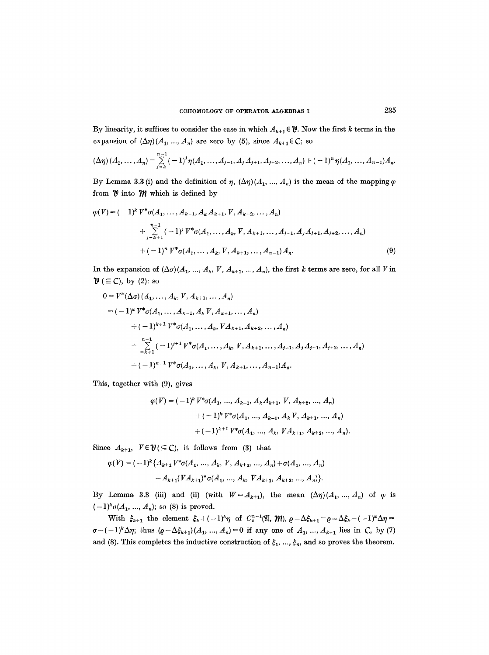By linearity, it suffices to consider the case in which  $A_{k+1} \in \mathcal{V}$ . Now the first k terms in the expansion of  $(\Delta \eta)(A_1, ..., A_n)$  are zero by (5), since  $A_{k+1} \in \mathbb{C}$ ; so

$$
(\Delta \eta) (A_1, \ldots, A_n) = \sum_{j=k}^{n-1} (-1)^j \eta(A_1, \ldots, A_{j-1}, A_j A_{j+1}, A_{j+2}, \ldots, A_n) + (-1)^n \eta(A_1, \ldots, A_{n-1}) A_n.
$$

By Lemma 3.3 (i) and the definition of  $\eta$ ,  $(\Delta \eta)(A_1, ..., A_n)$  is the mean of the mapping  $\varphi$ from  $\mathcal V$  into  $\mathcal M$  which is defined by

$$
\varphi(V) = (-1)^k V^* \sigma(A_1, \dots, A_{k-1}, A_k A_{k+1}, V, A_{k+2}, \dots, A_n)
$$
  
+ 
$$
\sum_{j=k+1}^{n-1} (-1)^j V^* \sigma(A_1, \dots, A_k, V, A_{k+1}, \dots, A_{j-1}, A_j A_{j+1}, A_{j+2}, \dots, A_n)
$$
  
+ 
$$
(-1)^n V^* \sigma(A_1, \dots, A_k, V, A_{k+1}, \dots, A_{n-1}) A_n.
$$
 (9)

In the expansion of  $(\Delta \sigma)(A_1, ..., A_k, V, A_{k+1}, ..., A_n)$ , the first k terms are zero, for all V in  $\mathcal{V}$  ( $\subseteq$ C), by (2): so

$$
0 = V^*(\Delta \sigma) (A_1, ..., A_k, V, A_{k+1}, ..., A_n)
$$
  
=  $(-1)^k V^* \sigma(A_1, ..., A_{k-1}, A_k V, A_{k+1}, ..., A_n)$   
+  $(-1)^{k+1} V^* \sigma(A_1, ..., A_k, VA_{k+1}, A_{k+2}, ..., A_n)$   
+  $\sum_{k+1}^{n-1} (-1)^{j+1} V^* \sigma(A_1, ..., A_k, V, A_{k+1}, ..., A_{j-1}, A_j A_{j+1}, A_{j+2}, ..., A_n)$   
+  $(-1)^{n+1} V^* \sigma(A_1, ..., A_k, V, A_{k+1}, ..., A_{n-1}) A_n.$ 

This, together with (9), gives

$$
\varphi(V) = (-1)^k V^* \sigma(A_1, ..., A_{k-1}, A_k A_{k+1}, V, A_{k+2}, ..., A_n)
$$
  
+  $(-1)^k V^* \sigma(A_1, ..., A_{k-1}, A_k V, A_{k+1}, ..., A_n)$   
+  $(-1)^{k+1} V^* \sigma(A_1, ..., A_k, VA_{k+1}, A_{k+2}, ..., A_n).$ 

Since  $A_{k+1}$ ,  $V \in \mathcal{V} \subseteq C$ , it follows from (3) that

$$
\varphi(V) = (-1)^k \{ A_{k+1} V^* \sigma(A_1, ..., A_k, V, A_{k+2}, ..., A_n) + \sigma(A_1, ..., A_n) - A_{k+1} (V A_{k+1})^* \sigma(A_1, ..., A_k, V A_{k+1}, A_{k+2}, ..., A_n) \}.
$$

By Lemma 3.3 (iii) and (ii) (with  $W = A_{k+1}$ ), the mean  $(\Delta \eta)(A_1, ..., A_n)$  of  $\varphi$  is  $(-1)^{k} \sigma(A_1, ..., A_n)$ ; so (8) is proved.

With  $\xi_{k+1}$  the element  $\xi_k + (-1)^k \eta$  of  $C_c^{n-1}(\mathfrak{A}, \mathfrak{M}), \rho - \Delta \xi_{k+1} = \rho - \Delta \xi_k - (-1)^k \Delta \eta =$  $\sigma - (-1)^k \Delta \eta$ ; thus  $(\rho - \Delta \xi_{k+1})(A_1, ..., A_n) = 0$  if any one of  $A_1, ..., A_{k+1}$  lies in C, by (7) and (8). This completes the inductive construction of  $\xi_1, ..., \xi_n$ , and so proves the theorem.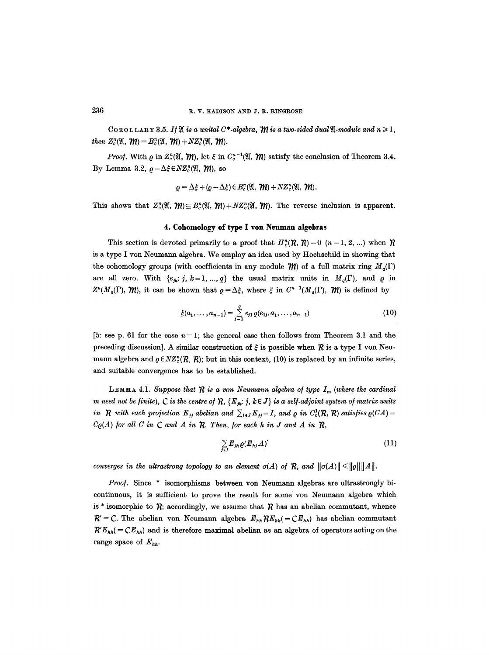COROLLARY 3.5. If  $\mathfrak{A}$  is a unital C\*-algebra,  $\mathfrak{M}$  is a two-sided dual  $\mathfrak{A}$ -module and  $n \geq 1$ , *then*  $Z_c^n(\mathfrak{A}, \mathfrak{M}) = B_c^n(\mathfrak{A}, \mathfrak{M}) + NZ_c^n(\mathfrak{A}, \mathfrak{M}).$ 

*Proof.* With  $\rho$  in  $Z_c^n(\mathfrak{A}, \mathfrak{M})$ , let  $\xi$  in  $C_c^{n-1}(\mathfrak{A}, \mathfrak{M})$  satisfy the conclusion of Theorem 3.4. By Lemma 3.2,  $\rho - \Delta \xi \in NZ_c^n(\mathfrak{A}, \mathfrak{M})$ , so

$$
\varrho = \Delta \xi + (\varrho - \Delta \xi) \in B_c^n(\mathfrak{A}, \mathcal{W}) + NZ_c^n(\mathfrak{A}, \mathcal{W}).
$$

This shows that  $Z_c^n(\mathfrak{A}, \mathfrak{M}) \subseteq B_c^n(\mathfrak{A}, \mathfrak{M})+NZ_c^n(\mathfrak{A}, \mathfrak{M})$ . The reverse inclusion is apparent.

### **4. Cohomology of type I yon Neuman algebras**

This section is devoted primarily to a proof that  $H_c^n(R, R) = 0$   $(n = 1, 2, ...)$  when R is a type I yon Neumann algebra. We employ an idea used by Hochschild in showing that the cohomology groups (with coefficients in any module  $\mathcal{W}$ ) of a full matrix ring  $M_q(\Gamma)$ are all zero. With  $\{e_{jk}: j, k=1, ..., q\}$  the usual matrix units in  $M_q(\Gamma)$ , and  $\varrho$  in  $Z^{n}(M_{q}(\Gamma), \mathcal{W})$ , it can be shown that  $\rho = \Delta \xi$ , where  $\xi$  in  $C^{n-1}(M_{q}(\Gamma), \mathcal{W})$  is defined by

$$
\xi(a_1,\ldots,a_{n-1})=\sum_{j=1}^q e_{j1}\varrho(e_{1j},a_1,\ldots,a_{n-1})
$$
\n(10)

[5: see p. 61 for the case  $n = 1$ ; the general case then follows from Theorem 3.1 and the preceding discussion]. A similar construction of  $\xi$  is possible when  $\mathcal R$  is a type I von Neumann algebra and  $\rho \in NZ_c^n(R, R)$ ; but in this context, (10) is replaced by an infinite series, and suitable convergence has to be established.

LEMMA 4.1. Suppose that  $R$  is a von Neumann algebra of type  $I_m$  (where the cardinal *m need not be finite), C is the centre of*  $R$ ,  ${E_{jk}: j, k \in J}$  *is a self-adjoint system of matrix units in*  $R$  with each projection  $E_{jj}$  abelian and  $\sum_{j\in J} E_{jj} = I$ , and  $\varrho$  in  $C_c^1(R, R)$  satisfies  $\varrho(CA) =$  $C_{\mathcal{Q}}(A)$  for all C in C and A in  $R$ . Then, for each h in J and A in  $R$ ,

$$
\sum_{j\in J} E_{jn} \varrho(E_{nj} A) \tag{11}
$$

*converges in the ultrastrong topology to an element*  $\sigma(A)$  *of*  $\mathcal{R}$ *, and*  $\|\sigma(A)\| \leq \|\rho\| \|A\|$ .

*Proof.* Since \* isomorphisms between yon Neumann algebras are ultrastrongly bicontinuous, it is sufficient to prove the result for some yon Neumann algebra which is \* isomorphic to  $R$ ; accordingly, we assume that  $R$  has an abelian commutant, whence  $R' = C$ . The abelian von Neumann algebra  $E_{hh} R E_{hh} (= C E_{hh})$  has abelian commutant  $R'E_{hh} (= CE_{hh})$  and is therefore maximal abelian as an algebra of operators acting on the range space of *Ehh.*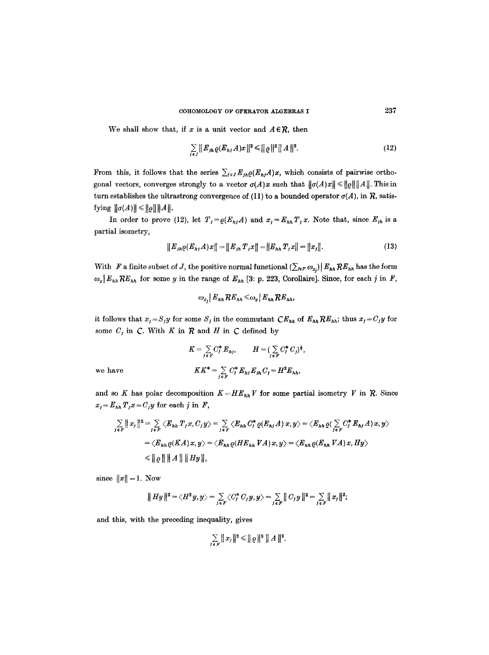We shall show that, if x is a unit vector and  $A \in \mathcal{R}$ , then

$$
\sum_{j \in J} ||E_{j h} \varrho(E_{h j} A) x||^2 \le ||\varrho||^2 ||A||^2.
$$
 (12)

From this, it follows that the series  $\sum_{j\in J} E_{jn} \varrho(E_{nj} A)x$ , which consists of pairwise orthogonal vectors, converges strongly to a vector  $\sigma(A)x$  such that  $\|\sigma(A)x\| \leq \|\varrho\| \|A\|$ . This in turn establishes the ultrastrong convergence of (11) to a bounded operator  $\sigma(A)$ , in  $\mathcal{R}$ , satisfying  $\|\sigma(A)\| \leq \|\rho\| \|A\|$ .

In order to prove (12), let  $T_j = \varrho(E_{hj}A)$  and  $x_j = E_{hh}T_jx$ . Note that, since  $E_{ih}$  is a partial isometry,

$$
||E_{j h} \varrho(E_{h j} A) x|| = ||E_{j h} T_j x|| = ||E_{h h} T_j x|| = ||x_j||.
$$
 (13)

With F a finite subset of J, the positive normal functional  $(\sum_{j\in F}\omega_{x_j}) | E_{hh} R E_{hh}$  has the form  $\omega_y | E_{hh} R E_{hh}$  for some y in the range of  $E_{hh}$  [3: p. 223, Corollaire]. Since, for each j in F,

$$
\omega_{x_i} E_{hh} R E_{hh} \leq \omega_y E_{hh} R E_{hh},
$$

it follows that  $x_j = S_j y$  for some  $S_j$  in the commutant  $CE_{hh}$  of  $E_{hh}$ ; thus  $x_j = C_j y$  for some  $C_j$  in  $C$ . With  $K$  in  $R$  and  $H$  in  $C$  defined by

$$
K = \sum_{j \in F} C_j^* E_{hj}, \qquad H = (\sum_{j \in F} C_j^* C_j)^{\frac{1}{4}},
$$
  

$$
KK^* = \sum_{j \in F} C_j^* E_{hj} E_{jh} C_j = H^2 E_{hh},
$$

 $we have$ 

and so K has polar decomposition  $K=HE_{hh}V$  for some partial isometry V in  $R$ . Since  $x_j = E_{hh} T_j x = C_j y$  for each j in F,

$$
\sum_{j \in F} ||x_j||^2 = \sum_{j \in F} \langle E_{hh} T_j x, C_j y \rangle = \sum_{j \in F} \langle E_{hh} C_j^* \varrho(E_{hj} A) x, y \rangle = \langle E_{hh} \varrho(\sum_{j \in F} C_j^* E_{hj} A) x, y \rangle
$$
  
=  $\langle E_{hh} \varrho(KA) x, y \rangle = \langle E_{hh} \varrho(HE_{hh} VA) x, y \rangle = \langle E_{hh} \varrho(E_{hh} VA) x, Hy \rangle$   
 $\le ||\varrho|| ||A|| ||Hy||,$ 

since  $||x|| = 1$ . Now

$$
\|Hy\|^2 = \langle H^2y, y \rangle = \sum_{j \in F} \langle C_j^* C_j y, y \rangle = \sum_{j \in F} ||C_j y||^2 = \sum_{j \in F} ||x_j||^2;
$$

and this, with the preceding inequality, gives

$$
\sum_{j \in F} ||x_j||^2 \le ||\varrho||^2 ||A||^2.
$$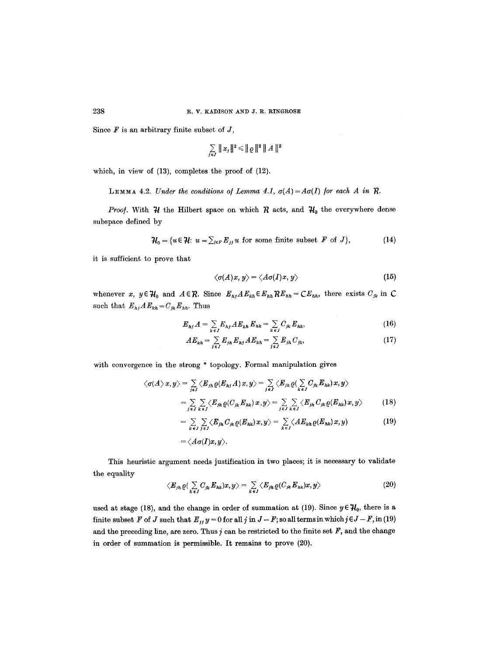Since  $F$  is an arbitrary finite subset of  $J$ ,

$$
\sum_{j\in J}\parallel x_j\parallel^2\,\leqslant\,\parallel\!\varrho\parallel^2\,\parallel A\parallel^2
$$

which, in view of (13), completes the proof of (12).

LEMMA 4.2. *Under the conditions of Lemma 4.1,*  $\sigma(A) = A\sigma(I)$  *for each A in R.* 

*Proof.* With  $H$  the Hilbert space on which  $R$  acts, and  $H_0$  the everywhere dense subspace defined by

$$
\mathcal{H}_0 = \{u \in \mathcal{H}: u = \sum_{j \in F} E_{jj} u \text{ for some finite subset } F \text{ of } J\},\tag{14}
$$

it is sufficient to prove that

$$
\langle \sigma(A)x, y \rangle = \langle A\sigma(I)x, y \rangle \tag{15}
$$

whenever x,  $y \in \mathcal{H}_0$  and  $A \in \mathcal{R}$ . Since  $E_{h,j} A E_{kh} \in E_{hh} R E_{hh} = C E_{hh}$ , there exists  $C_{jk}$  in C such that  $E_{hj}A E_{kh} = C_{jk} E_{hh}$ . Thus

$$
E_{hj}A = \sum_{k \in J} E_{hj} A E_{kh} E_{hk} = \sum_{k \in J} C_{jk} E_{hk}, \qquad (16)
$$

$$
AE_{kh} = \sum_{j \in J} E_{jh} E_{hj} AE_{kh} = \sum_{j \in J} E_{jh} C_{jk},
$$
 (17)

with convergence in the strong \* topology. Formal manipulation gives

$$
\langle \sigma(A \rangle x, y \rangle = \sum_{j \in J} \langle E_{jh} \varrho(E_{hj} A) x, y \rangle = \sum_{j \in J} \langle E_{jh} \varrho(\sum_{k \in J} C_{jk} E_{hk}) x, y \rangle
$$
  
= 
$$
\sum_{j \in J} \sum_{k \in J} \langle E_{jh} \varrho(C_{jk} E_{hk}) x, y \rangle = \sum_{j \in J} \sum_{k \in J} \langle E_{jh} C_{jk} \varrho(E_{hk}) x, y \rangle
$$
 (18)

$$
= \sum_{k\,\epsilon\,J}\sum_{j\,\epsilon\,J}\langle E_{jh}\,C_{jk}\,\varrho(E_{hk})\,x,y\rangle = \sum_{k\,\epsilon\,J}\langle AE_{kh}\,\varrho(E_{hk})\,x,y\rangle \qquad\qquad(19)
$$

$$
=\langle A\sigma(I)x,y\rangle.
$$

This heuristic argument needs justification in two places; it is necessary to vahdate the equality

$$
\langle E_{jn}\varrho(\sum_{k\in J}C_{jk}E_{nk})x,y\rangle=\sum_{k\in J}\langle E_{jn}\varrho(C_{jk}E_{nk})x,y\rangle\tag{20}
$$

used at stage (18), and the change in order of summation at (19). Since  $y \in \mathcal{H}_0$ , there is a finite subset F of J such that  $E_j$ ,  $y = 0$  for all j in  $J - F$ ; so all terms in which  $j \in J - F$ , in (19) and the preceding line, are zero. Thus  $j$  can be restricted to the finite set  $F$ , and the change in order of summation is permissible. It remains to prove (20).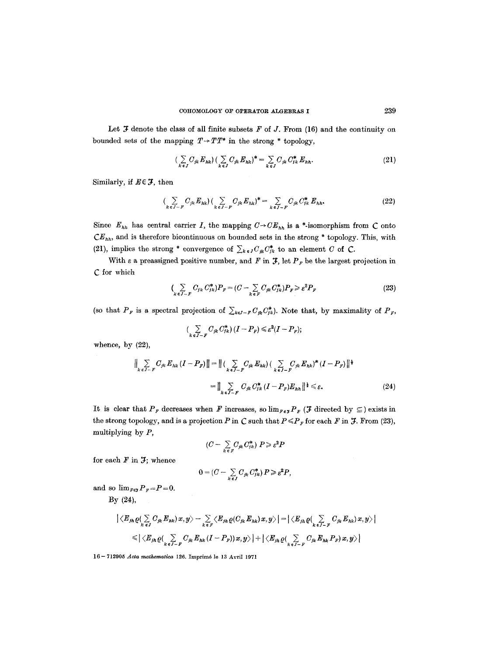Let  $J$  denote the class of all finite subsets  $F$  of  $J$ . From (16) and the continuity on bounded sets of the mapping  $T \rightarrow TT^*$  in the strong  $*$  topology,

$$
\left(\sum_{k\,\epsilon\,J} C_{jk}\,E_{nk}\right)\left(\sum_{k\,\epsilon\,J} C_{jk}\,E_{nk}\right)^* = \sum_{k\,\epsilon\,J} C_{jk}\,C_{jk}^*\,E_{nh}.\tag{21}
$$

Similarly, if  $E \in \mathcal{F}$ , then

$$
\left(\sum_{k\,\epsilon\,J-F}C_{jk}\,E_{hk}\right)\left(\sum_{k\,\epsilon\,J-F}C_{jk}\,E_{hk}\right)^* = \sum_{k\,\epsilon\,J-F}C_{jk}\,C_{jk}^*\,E_{hh}.\tag{22}
$$

Since  $E_{hh}$  has central carrier *I*, the mapping  $C \rightarrow CE_{hh}$  is a \*-isomorphism from *C* onto  $CE<sub>hh</sub>$ , and is therefore bicontinuous on bounded sets in the strong \* topology. This, with (21), implies the strong \* convergence of  $\sum_{k\in J}C_{jk}C_{jk}^*$  to an element C of C.

With  $\varepsilon$  a preassigned positive number, and F in  $\mathcal{F}$ , let  $P_F$  be the largest projection in C for which

$$
\left(\sum_{k\,\epsilon\,J-F}C_{jk}\,C_{jk}^*\right)P_F = \left(C - \sum_{k\,\epsilon\,F}C_{jk}\,C_{jk}^*\right)P_F \geqslant \varepsilon^2 P_F\tag{23}
$$

(so that  $P_F$  is a spectral projection of  $\sum_{k\in I-F} C_{jk} C_{jk}^*$ ). Note that, by maximality of  $P_F$ ,

$$
(\sum_{k\epsilon J-F} C_{jk} C_{jk}^*) (I - P_F) \leq \varepsilon^2 (I - P_F);
$$

whence, by (22),

$$
\|\sum_{k \in J-F} C_{jk} E_{hk} (I - P_F) \| = \| (\sum_{k \in J-F} C_{jk} E_{hk}) (\sum_{k \in J-F} C_{jk} E_{hk})^* (I - P_F) \|^{1}
$$
  

$$
= \| \sum_{k \in J-F} C_{jk} C_{jk}^* (I - P_F) E_{hh} \|^{1} \leq \varepsilon.
$$
 (24)

It is clear that  $P_F$  decreases when F increases, so  $\lim_{F \in \mathcal{F}} P_F$  (*f* directed by  $\subseteq$  ) exists in the strong topology, and is a projection P in C such that  $P \leq P_F$  for each F in J. From (23), multiplying by  $P$ ,

$$
(C-\sum_{k\in F}C_{jk}C_{jk}^*)\ P\geq \varepsilon^2P
$$

for each  $F$  in  $J;$  whence

$$
0=(C-\sum_{k\in J}C_{jk}C_{jk}^*)P\geqslant \varepsilon^2P,
$$

and so  $\lim_{F\in \mathcal{F}} P_F = P = 0$ .

By (24),

$$
\begin{aligned} \big| \langle E_{jn}\varrho (\sum_{k\;\epsilon J} C_{jk} E_{nk} )\, x, y\big\rangle - \sum_{k\;\epsilon F} \langle E_{jn}\varrho (C_{jk} E_{hk} )\, x, y\big\rangle \big| = \big| \langle E_{jn}\varrho (\sum_{k\;\epsilon J-F} C_{jk} E_{hk} )\, x, y\big\rangle \big| \\ \leqslant \big| \langle E_{jn}\varrho (\sum_{k\;\epsilon J-F} C_{jk} E_{hk} \, (I-P_F))\, x, y\big\rangle \big| + \big| \langle E_{jn}\varrho (\sum_{k\;\epsilon J-F} C_{jk} E_{hk} P_F)\, x, y\big\rangle \big| \end{aligned}
$$

16- 712905 *Acta mathematica* 126. Imprim6 le 13 Avril 1971

 $\sim$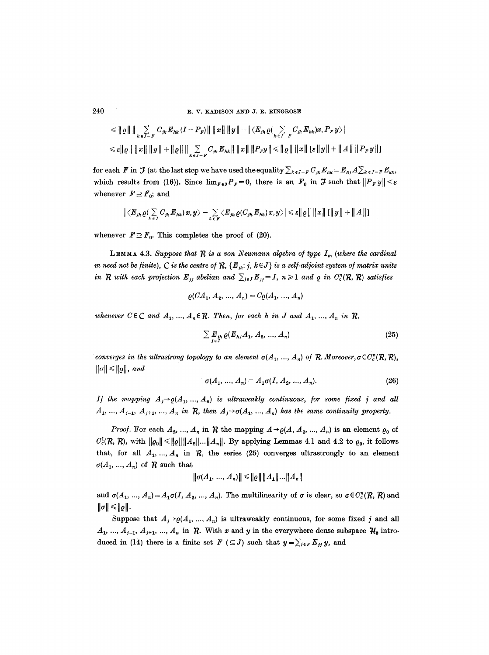R. V. KADISON AND J. R. RINGROSE

$$
\leq ||e|| || \sum_{k \in J-F} C_{jk} E_{hk} (I - P_F) || ||x|| ||y|| + |\langle E_{jh} \varrho ( \sum_{k \in J-F} C_{jk} E_{hk}) x, P_F y \rangle |
$$
  

$$
\leq ||e|| ||x|| ||y|| + ||e|| || \sum_{k \in J-F} C_{jk} E_{hk} || ||x|| ||P_F y|| \leq ||e|| ||x|| [e||y|| + ||A|| ||P_F y||]
$$

for each F in  $\mathcal F$  (at the last step we have used the equality  $\sum_{k\in J-F} C_{jk} E_{hk} = E_{hj} A \sum_{k\in J-F} E_{kk}$ , which results from (16)). Since  $\lim_{F \in \mathcal{F}} P_F = 0$ , there is an  $F_0$  in  $\mathcal{F}$  such that  $||P_F y|| < \varepsilon$ whenever  $F \supseteq F_0$ ; and

$$
\big|\langle E_{j h} \varrho(\sum_{k\in J} C_{j k} E_{h k}) x, y\rangle - \sum_{k\in F} \langle E_{j h} \varrho(C_{j h} E_{h k}) x, y\rangle \big| \leqslant \varepsilon \| \varrho \| \| x \| \, [\|y\| + \|A\|]\big|
$$

whenever  $F \supseteq F_0$ . This completes the proof of (20).

LEMMA 4.3. Suppose that  $R$  is a von Neumann algebra of type  $I_m$  (where the cardinal m need not be finite), C is the centre of R,  ${E_{ik}: j, k \in J}$  is a self-adjoint system of matrix units in R with each projection  $E_{jj}$  abelian and  $\sum_{j\in J} E_{jj} = I$ ,  $n \geq 1$  and  $\varrho$  in  $C_c^n(\mathcal{R}, \mathcal{R})$  satisfies

$$
\varrho(CA_1, A_2, ..., A_n) = C\varrho(A_1, ..., A_n)
$$

whenever  $C \in \mathbb{C}$  and  $A_1, ..., A_n \in \mathbb{R}$ . Then, for each h in J and  $A_1, ..., A_n$  in  $\mathbb{R}$ ,

$$
\sum_{j \in J} E_{jh} \varrho(E_{hj} A_1, A_2, ..., A_n)
$$
\n(25)

converges in the ultrastrong topology to an element  $\sigma(A_1, ..., A_n)$  of R. Moreover,  $\sigma \in C_c^n(R, R)$ ,  $\|\sigma\| \leq \|\varrho\|$ , and

$$
\sigma(A_1, ..., A_n) = A_1 \sigma(I, A_2, ..., A_n). \tag{26}
$$

If the mapping  $A_i \rightarrow o(A_1, ..., A_n)$  is ultraweakly continuous, for some fixed j and all  $A_1, ..., A_{i-1}, A_{i+1}, ..., A_n$  in R, then  $A_i \rightarrow \sigma(A_1, ..., A_n)$  has the same continuity property.

*Proof.* For each  $A_2, ..., A_n$  in  $R$  the mapping  $A \rightarrow \varrho(A, A_2, ..., A_n)$  is an element  $\varrho_0$  of  $C_c^1(\mathcal{R}, \mathcal{R})$ , with  $||\varrho_0|| \le ||\varrho|| ||A_2|| \dots ||A_n||$ . By applying Lemmas 4.1 and 4.2 to  $\varrho_0$ , it follows that, for all  $A_1, ..., A_n$  in  $R$ , the series (25) converges ultrastrongly to an element  $\sigma(A_1, ..., A_n)$  of R such that

$$
\|\sigma(A_1, ..., A_n)\| \leq \|\varrho\| \|A_1\| ... \|A_n\|
$$

and  $\sigma(A_1, ..., A_n) = A_1 \sigma(I, A_2, ..., A_n)$ . The multilinearity of  $\sigma$  is clear, so  $\sigma \in C_c^n(R, R)$  and  $\|\sigma\| \leq \|\varrho\|.$ 

Suppose that  $A_j \rightarrow \varrho(A_1, ..., A_n)$  is ultraweakly continuous, for some fixed j and all  $A_1, ..., A_{j-1}, A_{j+1}, ..., A_n$  in R. With x and y in the everywhere dense subspace  $\mathcal{H}_0$  introduced in (14) there is a finite set  $F \in J$  such that  $y = \sum_{j \in F} E_{jj} y$ , and

240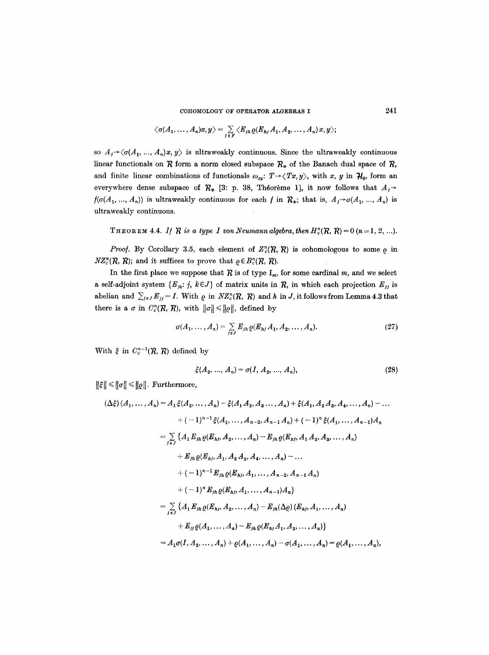COHOMOLOGY OF OPERATOR ALGEBRAS I

$$
\langle \sigma(A_1,\ldots,A_n)x,y\rangle = \sum_{j\,\in\, F} \langle E_{jh}\varrho(E_{hj}\,A_1,A_2,\ldots,A_n)\,x,y\rangle;
$$

so  $A_i \rightarrow \langle \sigma(A_1, ..., A_n)x, y \rangle$  is ultraweakly continuous. Since the ultraweakly continuous linear functionals on  $R$  form a norm closed subspace  $R_*$  of the Banach dual space of  $R$ , and finite linear combinations of functionals  $\omega_{xy}$ :  $T \rightarrow \langle Tx, y \rangle$ , with x, y in  $\mathcal{H}_0$ , form an everywhere dense subspace of  $\mathcal{R}_{*}$  [3: p. 38, Théorème 1], it now follows that  $A_{f}$  >  $f(\sigma(A_1, ..., A_n))$  is ultraweakly continuous for each f in  $\mathcal{R}_*$ ; that is,  $A_i \rightarrow \sigma(A_1, ..., A_n)$  is ultraweakly continuous.

THEOREM 4.4. If R is a type I von Neumann algebra, then  $H_c^n(R, R) = 0$   $(n = 1, 2, ...).$ 

*Proof.* By Corollary 3.5, each element of  $Z_{c}^{n}(\mathcal{R}, \mathcal{R})$  is cohomologous to some  $\rho$  in  $NZ_c^n(R, R)$ ; and it suffices to prove that  $\rho \in B_c^n(R, R)$ .

In the first place we suppose that  $R$  is of type  $I_m$ , for some cardinal m, and we select a self-adjoint system  $\{E_{jk}: j, k \in J\}$  of matrix units in  $R$ , in which each projection  $E_{jj}$  is abelian and  $\sum_{j\in J} E_{jj} = I$ . With  $\rho$  in  $NZ_c^n(R, R)$  and h in J, it follows from Lemma 4.3 that there is a  $\sigma$  in  $C_c^n(\mathcal{R}, \mathcal{R})$ , with  $\|\sigma\| \leq \|\rho\|$ , defined by

$$
\sigma(A_1, ..., A_n) = \sum_{j \in J} E_{jh} \varrho(E_{hj} A_1, A_2, ..., A_n).
$$
 (27)

With  $\xi$  in  $C_c^{n-1}(\mathcal{R}, \mathcal{R})$  defined by

$$
\xi(A_2, ..., A_n) = \sigma(I, A_2, ..., A_n),\tag{28}
$$

 $\|\xi\| \le \|\sigma\| \le \|\varrho\|.$  Furthermore,

$$
(\Delta\xi)(A_1, ..., A_n) = A_1\xi(A_2, ..., A_n) - \xi(A_1A_2, A_3, ..., A_n) + \xi(A_1, A_2A_3, A_4, ..., A_n) - ...
$$
  
+  $(-1)^{n-1}\xi(A_1, ..., A_{n-2}, A_{n-1}A_n) + (-1)^n\xi(A_1, ..., A_{n-1})A_n$   
=  $\sum_{j\in J} \{A_1E_{jn}\varrho(E_{nj}, A_2, ..., A_n) - E_{jn}\varrho(E_{nj}, A_1A_2, A_3, ..., A_n)$   
+  $E_{jn}\varrho(E_{nj}, A_1, A_2A_3, A_4, ..., A_n) - ...$   
+  $(-1)^{n-1}E_{jn}\varrho(E_{nj}, A_1, ..., A_{n-2}, A_{n-1}A_n)$   
+  $(-1)^nE_{jn}\varrho(E_{nj}, A_1, ..., A_{n-1})A_n\}$   
=  $\sum_{j\in J} \{A_1E_{jn}\varrho(E_{nj}, A_2, ..., A_n) - E_{jn}(\Delta\varrho)(E_{nj}, A_1, ..., A_n)$   
+  $E_{jj}\varrho(A_1, ..., A_n) - E_{jn}\varrho(E_{nj}, A_1, A_2, ..., A_n)\}$   
=  $A_1\sigma(I, A_2, ..., A_n) + \varrho(A_1, ..., A_n) - \sigma(A_1, ..., A_n) = \varrho(A_1, ..., A_n)$ ,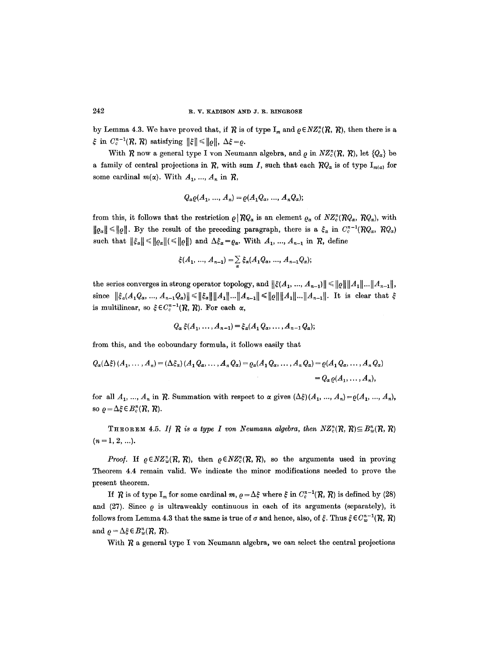by Lemma 4.3. We have proved that, if R is of type  $I_m$  and  $\rho \in NZ_c^n(R, R)$ , then there is a  $\xi$  in  $C_c^{n-1}(\mathcal{R}, \mathcal{R})$  satisfying  $\|\xi\| \leq ||\rho||$ ,  $\Delta \xi = \rho$ .

With  $R$  now a general type I von Neumann algebra, and  $\rho$  in  $NZ_c^n(R, R)$ , let  $\{Q_\alpha\}$  be a family of central projections in R, with sum I, such that each  $RQ_{\alpha}$  is of type  $I_{m(\alpha)}$  for some cardinal  $m(\alpha)$ . With  $A_1, ..., A_n$  in  $\mathcal{R}$ ,

$$
Q_{\alpha}\varrho(A_1, ..., A_n) = \varrho(A_1Q_{\alpha}, ..., A_nQ_{\alpha});
$$

from this, it follows that the restriction  $\varrho \, | \, RQ_{\alpha}$  is an element  $\varrho_{\alpha}$  of  $NZ_{c}^{n}(RQ_{\alpha}, RQ_{\alpha})$ , with  $||\rho_{\alpha}|| \le ||\rho||$ . By the result of the preceding paragraph, there is a  $\xi_{\alpha}$  in  $C_c^{n-1}(\mathcal{R}Q_{\alpha}, \mathcal{R}Q_{\alpha})$ such that  $||\xi_{\alpha}|| \le ||\varrho_{\alpha}|| \le ||\varrho_{\alpha}||$  and  $\Delta \xi_{\alpha} = \varrho_{\alpha}$ . With  $A_1, ..., A_{n-1}$  in  $\mathcal{R}$ , define

$$
\xi(A_1, ..., A_{n-1}) = \sum_{\alpha} \xi_{\alpha}(A_1 Q_{\alpha}, ..., A_{n-1} Q_{\alpha});
$$

the series converges in strong operator topology, and  $\|\xi(A_1, ..., A_{n-1})\| \leq \|Q\| \|A_1\| \dots \|A_{n-1}\|$ , since  $\|\xi_a(A_1Q_\alpha, ..., A_{n-1}Q_\alpha)\| \le \|\xi_\alpha\| \|A_1\| ... \|A_{n-1}\| \le \|Q\| \|A_1\| ... \|A_{n-1}\|.$  It is clear that  $\xi$ is multilinear, so  $\xi \in C_c^{n-1}(\mathcal{R}, \mathcal{R})$ . For each  $\alpha$ ,

$$
Q_{\alpha}\xi(A_1,\ldots,A_{n-1})=\xi_{\alpha}(A_1Q_{\alpha},\ldots,A_{n-1}Q_{\alpha});
$$

from this, and the coboundary formula, it follows easily that

$$
Q_{\alpha}(\Delta \xi) (A_1, \ldots, A_n) = (\Delta \xi_{\alpha}) (A_1 Q_{\alpha}, \ldots, A_n Q_{\alpha}) = \varrho_{\alpha} (A_1 Q_{\alpha}, \ldots, A_n Q_{\alpha}) = \varrho (A_1 Q_{\alpha}, \ldots, A_n Q_{\alpha})
$$
  
=  $Q_{\alpha} \varrho (A_1, \ldots, A_n),$ 

for all  $A_1, ..., A_n$  in  $R$ . Summation with respect to  $\alpha$  gives  $(\Delta \xi)(A_1, ..., A_n) = \varrho(A_1, ..., A_n)$ , so  $\rho = \Delta \xi \in B_c^n(\mathcal{R}, \mathcal{R})$ .

THEOREM 4.5. *If*  $R$  is a type *I* von Neumann algebra, then  $NZ_c^n(R, R) \subseteq B_w^n(R, R)$  $(n = 1, 2, ...).$ 

*Proof.* If  $\rho \in NZ_w^n(R, R)$ , then  $\rho \in NZ_v^n(R, R)$ , so the arguments used in proving Theorem 4.4 remain valid. We indicate the minor modifications needed to prove the present theorem.

If R is of type I<sub>m</sub> for some cardinal m,  $\rho = \Delta \xi$  where  $\xi$  in  $C_c^{n-1}(\mathcal{R}, \mathcal{R})$  is defined by (28) and (27). Since  $\rho$  is ultraweakly continuous in each of its arguments (separately), it follows from Lemma 4.3 that the same is true of  $\sigma$  and hence, also, of  $\xi$ . Thus  $\xi \in C_w^{n-1}(\mathcal{R}, \mathcal{R})$ and  $\rho = \Delta \xi \in B_w^n(\mathcal{R}, \mathcal{R})$ .

With  $R$  a general type I von Neumann algebra, we can select the central projections